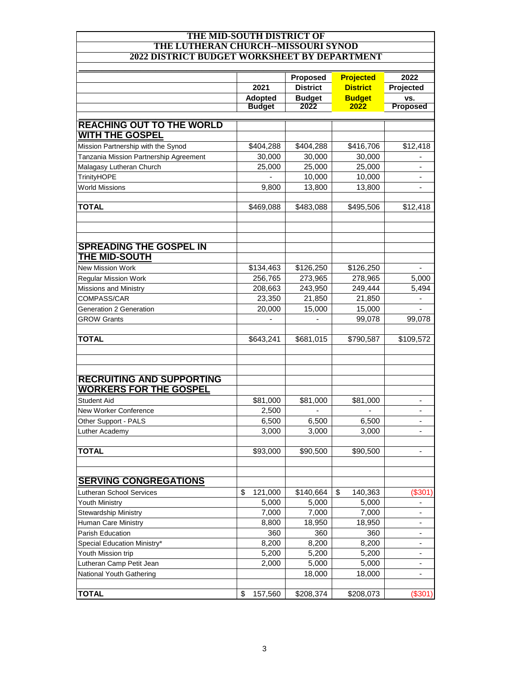## **THE MID-SOUTH DISTRICT OF THE LUTHERAN CHURCH--MISSOURI SYNOD 2022 DISTRICT BUDGET WORKSHEET BY DEPARTMENT**

|                                                            | 2021           | Proposed<br><b>District</b> | <b>Projected</b><br><b>District</b><br><b>Budget</b> | 2022<br>Projected<br>VS.<br><b>Proposed</b> |
|------------------------------------------------------------|----------------|-----------------------------|------------------------------------------------------|---------------------------------------------|
|                                                            |                |                             |                                                      |                                             |
|                                                            | <b>Adopted</b> | <b>Budget</b>               |                                                      |                                             |
|                                                            | <b>Budget</b>  | 2022                        | 2022                                                 |                                             |
|                                                            |                |                             |                                                      |                                             |
| <b>REACHING OUT TO THE WORLD</b><br><b>WITH THE GOSPEL</b> |                |                             |                                                      |                                             |
| Mission Partnership with the Synod                         | \$404.288      | \$404,288                   | \$416,706                                            | \$12,418                                    |
| Tanzania Mission Partnership Agreement                     | 30,000         | 30,000                      | 30,000                                               |                                             |
| Malagasy Lutheran Church                                   |                | 25,000                      | 25,000                                               |                                             |
|                                                            | 25,000         | 10,000                      | 10,000                                               |                                             |
| TrinityHOPE<br><b>World Missions</b>                       | 9,800          | 13,800                      | 13,800                                               |                                             |
|                                                            |                |                             |                                                      |                                             |
| <b>TOTAL</b>                                               | \$469,088      | \$483,088                   | \$495,506                                            | \$12,418                                    |
|                                                            |                |                             |                                                      |                                             |
| <b>SPREADING THE GOSPEL IN</b><br>THE MID-SOUTH            |                |                             |                                                      |                                             |
| <b>New Mission Work</b>                                    | \$134,463      | \$126,250                   | \$126,250                                            |                                             |
| <b>Regular Mission Work</b>                                | 256,765        | 273,965                     | 278,965                                              | 5,000                                       |
| <b>Missions and Ministry</b>                               | 208,663        | 243,950                     | 249,444                                              | 5,494                                       |
| <b>COMPASS/CAR</b>                                         | 23,350         | 21,850                      | 21,850                                               |                                             |
| Generation 2 Generation                                    | 20,000         | 15,000                      | 15,000                                               |                                             |
| <b>GROW Grants</b>                                         |                |                             | 99,078                                               | 99,078                                      |
|                                                            |                |                             |                                                      |                                             |
| <b>TOTAL</b>                                               | \$643,241      | \$681,015                   | \$790,587                                            | \$109,572                                   |
|                                                            |                |                             |                                                      |                                             |
|                                                            |                |                             |                                                      |                                             |
| <b>RECRUITING AND SUPPORTING</b>                           |                |                             |                                                      |                                             |
| <b>WORKERS FOR THE GOSPEL</b>                              |                |                             |                                                      |                                             |
| <b>Student Aid</b>                                         | \$81,000       | \$81,000                    | \$81,000                                             |                                             |
| New Worker Conference                                      | 2,500          |                             |                                                      |                                             |
| Other Support - PALS                                       | 6,500          | 6,500                       | 6,500                                                |                                             |
| Luther Academy                                             | 3,000          | 3,000                       | 3,000                                                | ٠                                           |
|                                                            |                |                             |                                                      |                                             |
| <b>TOTAL</b>                                               | \$93,000       | \$90,500                    | \$90,500                                             |                                             |
|                                                            |                |                             |                                                      |                                             |
| <b>SERVING CONGREGATIONS</b>                               |                |                             |                                                      |                                             |
| <b>Lutheran School Services</b>                            | \$<br>121,000  | \$140,664                   | \$<br>140,363                                        | (\$301                                      |
| <b>Youth Ministry</b>                                      | 5,000          | 5,000                       | 5,000                                                | ÷                                           |
| <b>Stewardship Ministry</b>                                | 7,000          | 7,000                       | 7,000                                                | ۰.                                          |
| Human Care Ministry                                        | 8,800          | 18,950                      | 18,950                                               | $\overline{\phantom{a}}$                    |
| Parish Education                                           | 360            | 360                         | 360                                                  | ۰                                           |
| Special Education Ministry*                                | 8,200          | 8,200                       | 8,200                                                | ۰                                           |
| Youth Mission trip                                         | 5,200          | 5,200                       | 5,200                                                | -                                           |
| Lutheran Camp Petit Jean                                   | 2,000          | 5,000                       | 5,000                                                | -                                           |
| National Youth Gathering                                   |                | 18,000                      | 18,000                                               |                                             |
|                                                            |                |                             |                                                      |                                             |
| <b>TOTAL</b>                                               | \$<br>157,560  | \$208,374                   | \$208,073                                            | (\$301                                      |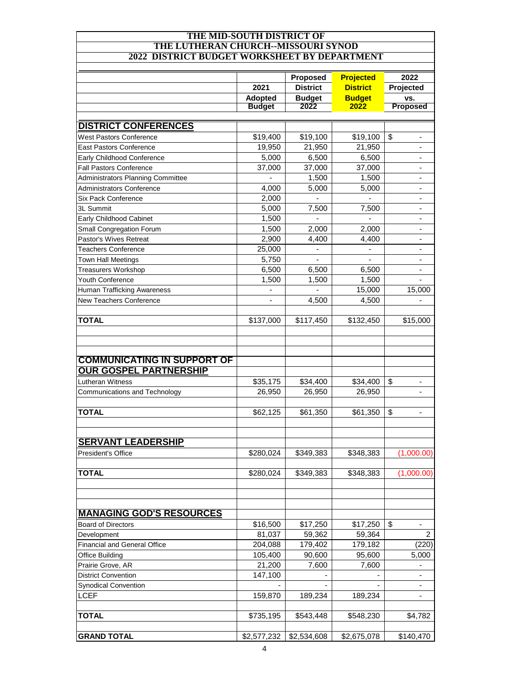## **THE MID-SOUTH DISTRICT OF THE LUTHERAN CHURCH--MISSOURI SYNOD 2022 DISTRICT BUDGET WORKSHEET BY DEPARTMENT**

| СІ БОБОЕТ МОККОПЕЕТ ВІ БЕТАКІМ     |                                  |                                                      |                                                              |                                             |
|------------------------------------|----------------------------------|------------------------------------------------------|--------------------------------------------------------------|---------------------------------------------|
|                                    | 2021<br>Adopted<br><b>Budget</b> | Proposed<br><b>District</b><br><b>Budget</b><br>2022 | <b>Projected</b><br><b>District</b><br><b>Budget</b><br>2022 | 2022<br>Projected<br>VS.<br><b>Proposed</b> |
|                                    |                                  |                                                      |                                                              |                                             |
|                                    |                                  |                                                      |                                                              |                                             |
|                                    |                                  |                                                      |                                                              |                                             |
| <b>DISTRICT CONFERENCES</b>        |                                  |                                                      |                                                              |                                             |
| <b>West Pastors Conference</b>     | \$19,400                         | \$19,100                                             | \$19,100                                                     | \$                                          |
| <b>East Pastors Conference</b>     | 19,950                           |                                                      |                                                              |                                             |
| Early Childhood Conference         | 5,000                            | 21,950<br>6,500                                      | 21,950<br>6,500                                              |                                             |
| <b>Fall Pastors Conference</b>     | 37,000                           | 37,000                                               | 37,000                                                       |                                             |
| Administrators Planning Committee  |                                  | 1,500                                                | 1,500                                                        | ۰                                           |
| <b>Administrators Conference</b>   | 4,000                            | 5,000                                                |                                                              |                                             |
| <b>Six Pack Conference</b>         | 2,000                            |                                                      | 5,000                                                        |                                             |
|                                    |                                  |                                                      |                                                              |                                             |
| 3L Summit                          | 5,000                            | 7,500                                                | 7,500                                                        |                                             |
| Early Childhood Cabinet            | 1,500                            |                                                      |                                                              |                                             |
| Small Congregation Forum           | 1,500                            | 2,000                                                | 2,000                                                        |                                             |
| Pastor's Wives Retreat             | 2,900                            | 4,400                                                | 4,400                                                        |                                             |
| <b>Teachers Conference</b>         | 25,000                           |                                                      |                                                              |                                             |
| <b>Town Hall Meetings</b>          | 5,750                            |                                                      |                                                              |                                             |
| <b>Treasurers Workshop</b>         | 6,500                            | 6,500                                                | 6,500                                                        |                                             |
| Youth Conference                   | 1,500                            | 1,500                                                | 1,500                                                        | ٠                                           |
| Human Trafficking Awareness        |                                  |                                                      | 15,000                                                       | 15,000                                      |
| New Teachers Conference            | $\blacksquare$                   | 4,500                                                | 4,500                                                        |                                             |
| <b>TOTAL</b>                       | \$137,000                        | \$117,450                                            | \$132,450                                                    | \$15,000                                    |
|                                    |                                  |                                                      |                                                              |                                             |
|                                    |                                  |                                                      |                                                              |                                             |
| <b>COMMUNICATING IN SUPPORT OF</b> |                                  |                                                      |                                                              |                                             |
| <b>OUR GOSPEL PARTNERSHIP</b>      |                                  |                                                      |                                                              |                                             |
| Lutheran Witness                   | \$35,175                         | \$34,400                                             | \$34,400                                                     | \$                                          |
| Communications and Technology      | 26,950                           | 26,950                                               | 26,950                                                       |                                             |
|                                    |                                  |                                                      |                                                              |                                             |
| <b>TOTAL</b>                       | \$62,125                         | \$61,350                                             | \$61,350                                                     | \$<br>-                                     |
|                                    |                                  |                                                      |                                                              |                                             |
| <b>SERVANT LEADERSHIP</b>          |                                  |                                                      |                                                              |                                             |
| <b>President's Office</b>          | \$280,024                        | \$349,383                                            | \$348,383                                                    | (1,000.00)                                  |
|                                    |                                  |                                                      |                                                              |                                             |
| <b>TOTAL</b>                       | \$280,024                        | \$349,383                                            | \$348,383                                                    | (1,000.00)                                  |
|                                    |                                  |                                                      |                                                              |                                             |
|                                    |                                  |                                                      |                                                              |                                             |
| <b>MANAGING GOD'S RESOURCES</b>    |                                  |                                                      |                                                              |                                             |
| <b>Board of Directors</b>          | \$16,500                         | \$17,250                                             | \$17,250                                                     | \$                                          |
| Development                        | 81,037                           | 59,362                                               | 59,364                                                       | 2                                           |
| Financial and General Office       | 204,088                          | 179,402                                              | 179,182                                                      | (220)                                       |
| <b>Office Building</b>             | 105,400                          | 90,600                                               | 95,600                                                       | 5,000                                       |
| Prairie Grove, AR                  | 21,200                           | 7,600                                                | 7,600                                                        |                                             |
| <b>District Convention</b>         | 147,100                          |                                                      |                                                              | -                                           |
| <b>Synodical Convention</b>        |                                  |                                                      |                                                              | -                                           |
| <b>LCEF</b>                        | 159,870                          | 189,234                                              | 189,234                                                      | $\overline{\phantom{a}}$                    |
|                                    |                                  |                                                      |                                                              |                                             |
| <b>TOTAL</b>                       | \$735,195                        | \$543,448                                            | \$548,230                                                    | \$4,782                                     |
| <b>GRAND TOTAL</b>                 | \$2,577,232                      | \$2,534,608                                          | \$2,675,078                                                  | \$140,470                                   |
|                                    |                                  |                                                      |                                                              |                                             |